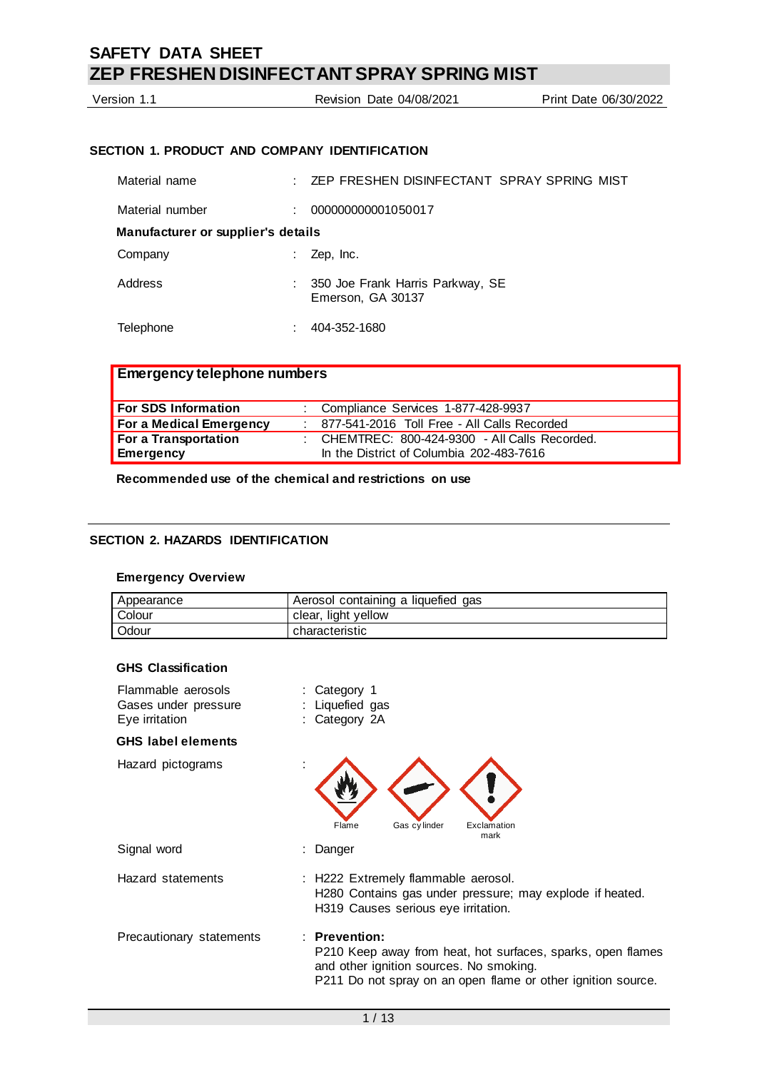Version 1.1 Revision Date 04/08/2021 Print Date 06/30/2022

# **SECTION 1. PRODUCT AND COMPANY IDENTIFICATION**

| Material name                      | ZEP FRESHEN DISINFECTANT SPRAY SPRING MIST            |
|------------------------------------|-------------------------------------------------------|
| Material number                    | 000000000001050017                                    |
| Manufacturer or supplier's details |                                                       |
| Company                            | Zep, Inc.                                             |
| Address                            | 350 Joe Frank Harris Parkway, SE<br>Emerson, GA 30137 |
| Telephone                          | 404-352-1680                                          |

# **Emergency telephone numbers**

| For SDS Information     | : Compliance Services 1-877-428-9937           |
|-------------------------|------------------------------------------------|
| For a Medical Emergency | 877-541-2016 Toll Free - All Calls Recorded    |
| For a Transportation    | : CHEMTREC: 800-424-9300 - All Calls Recorded. |
| Emergency               | In the District of Columbia 202-483-7616       |

## **Recommended use of the chemical and restrictions on use**

## **SECTION 2. HAZARDS IDENTIFICATION**

### **Emergency Overview**

| Appearance | Aerosol containing a liquefied gas |
|------------|------------------------------------|
| Colour     | clear, light yellow                |
| Odour      | characteristic                     |

## **GHS Classification**

| Flammable aerosols<br>Gases under pressure<br>Eye irritation | : Category 1<br>: Liquefied gas<br>: Category 2A                                                                                                                                          |
|--------------------------------------------------------------|-------------------------------------------------------------------------------------------------------------------------------------------------------------------------------------------|
| <b>GHS</b> label elements                                    |                                                                                                                                                                                           |
| Hazard pictograms                                            | Gas cylinder<br>Exclamation<br>Flame<br>mark                                                                                                                                              |
| Signal word                                                  | Danger                                                                                                                                                                                    |
| Hazard statements                                            | : H222 Extremely flammable aerosol.<br>H280 Contains gas under pressure; may explode if heated.<br>H319 Causes serious eye irritation.                                                    |
| Precautionary statements                                     | $:$ Prevention:<br>P210 Keep away from heat, hot surfaces, sparks, open flames<br>and other ignition sources. No smoking.<br>P211 Do not spray on an open flame or other ignition source. |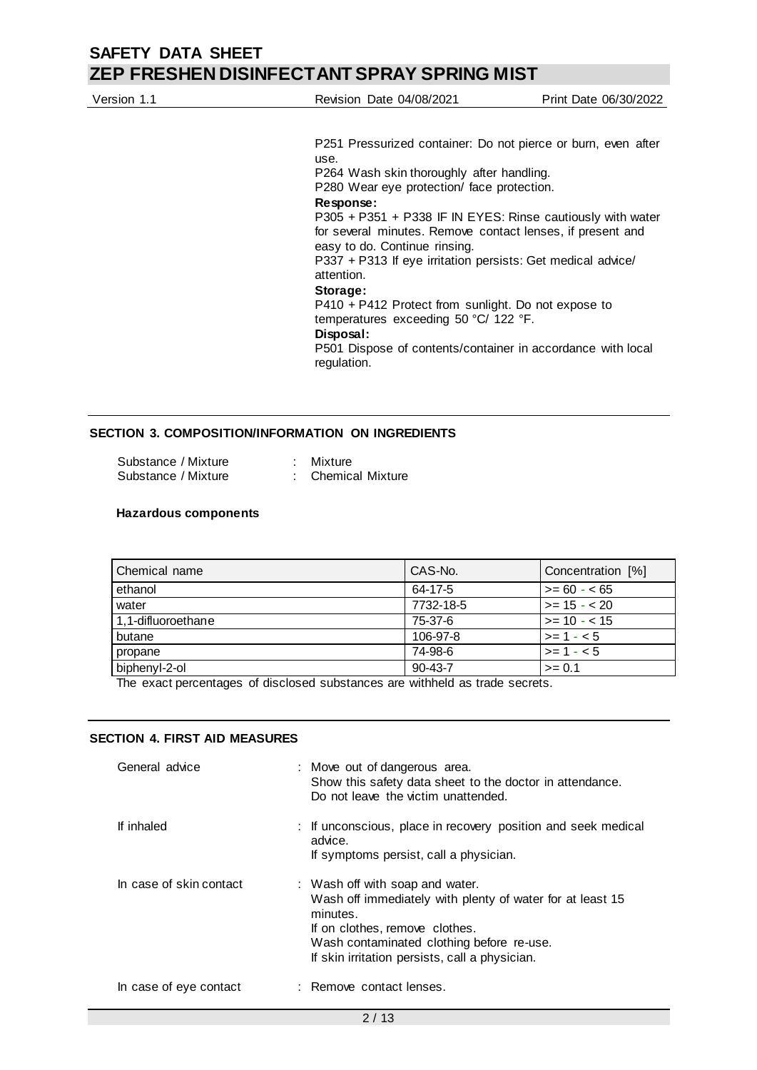| Version 1.1 | <b>Revision Date 04/08/2021</b>                               | Print Date 06/30/2022 |
|-------------|---------------------------------------------------------------|-----------------------|
|             |                                                               |                       |
|             | P251 Pressurized container: Do not pierce or burn, even after |                       |
|             | use.                                                          |                       |
|             | P264 Wash skin thoroughly after handling.                     |                       |
|             | P280 Wear eye protection/ face protection.                    |                       |
|             | Response:                                                     |                       |
|             | P305 + P351 + P338 IF IN EYES: Rinse cautiously with water    |                       |

for several minutes. Remove contact lenses, if present and easy to do. Continue rinsing. P337 + P313 If eye irritation persists: Get medical advice/ attention.

## **Storage:**

P410 + P412 Protect from sunlight. Do not expose to temperatures exceeding 50 °C/ 122 °F.

#### **Disposal:**

P501 Dispose of contents/container in accordance with local regulation.

## **SECTION 3. COMPOSITION/INFORMATION ON INGREDIENTS**

| Substance / Mixture | : Mixture          |
|---------------------|--------------------|
| Substance / Mixture | : Chemical Mixture |

#### **Hazardous components**

| Chemical name      | CAS-No.       | Concentration [%] |
|--------------------|---------------|-------------------|
| ethanol            | 64-17-5       | $>= 60 - 65$      |
| water              | 7732-18-5     | $>= 15 - 20$      |
| 1.1-difluoroethane | 75-37-6       | $>= 10 - 15$      |
| butane             | 106-97-8      | $>= 1 - 5$        |
| propane            | 74-98-6       | $>= 1 - 5$        |
| biphenyl-2-ol      | $90 - 43 - 7$ | $>= 0.1$          |

The exact percentages of disclosed substances are withheld as trade secrets.

### **SECTION 4. FIRST AID MEASURES**

| General advice          | : Move out of dangerous area.<br>Show this safety data sheet to the doctor in attendance.<br>Do not leave the victim unattended.                                                                                                          |
|-------------------------|-------------------------------------------------------------------------------------------------------------------------------------------------------------------------------------------------------------------------------------------|
| If inhaled              | : If unconscious, place in recovery position and seek medical<br>advice.<br>If symptoms persist, call a physician.                                                                                                                        |
| In case of skin contact | : Wash off with soap and water.<br>Wash off immediately with plenty of water for at least 15<br>minutes.<br>If on clothes, remove clothes.<br>Wash contaminated clothing before re-use.<br>If skin irritation persists, call a physician. |
| In case of eye contact  | : Remove contact lenses.                                                                                                                                                                                                                  |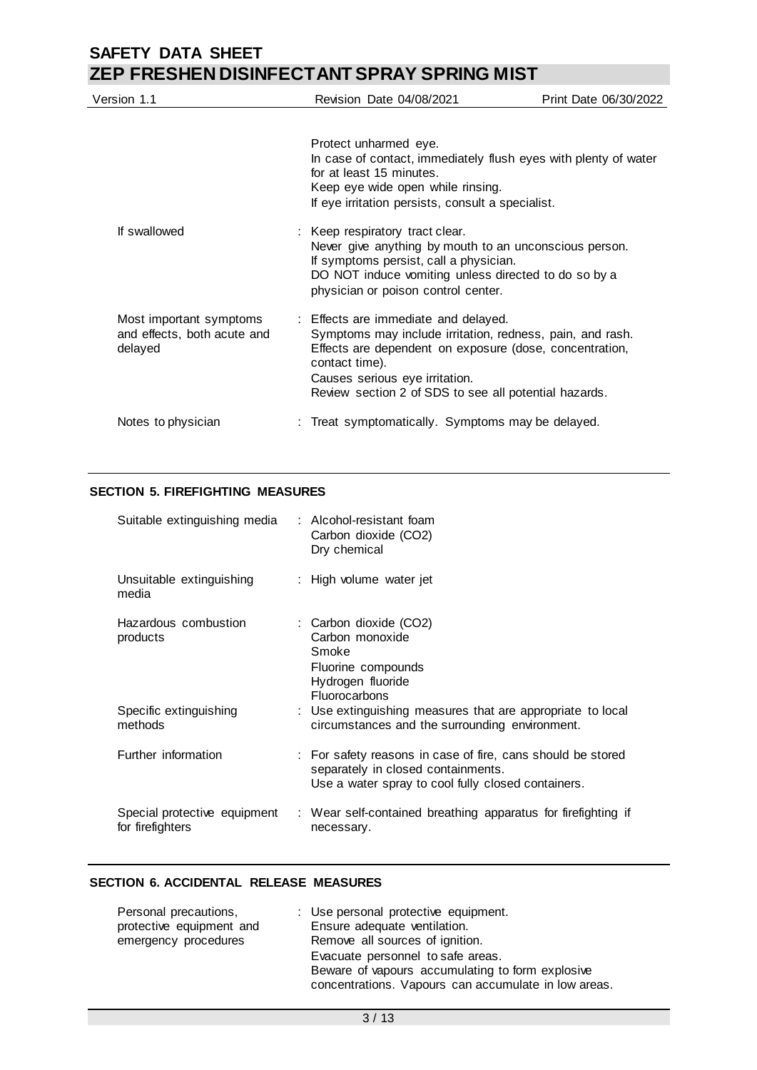| Version 1.1                                                       | <b>Revision Date 04/08/2021</b>                                                                                                                                                                                                                                           | Print Date 06/30/2022 |
|-------------------------------------------------------------------|---------------------------------------------------------------------------------------------------------------------------------------------------------------------------------------------------------------------------------------------------------------------------|-----------------------|
|                                                                   | Protect unharmed eye.<br>In case of contact, immediately flush eyes with plenty of water<br>for at least 15 minutes.<br>Keep eye wide open while rinsing.<br>If eye irritation persists, consult a specialist.                                                            |                       |
| If swallowed                                                      | : Keep respiratory tract clear.<br>Never give anything by mouth to an unconscious person.<br>If symptoms persist, call a physician.<br>DO NOT induce vomiting unless directed to do so by a<br>physician or poison control center.                                        |                       |
| Most important symptoms<br>and effects, both acute and<br>delayed | : Effects are immediate and delayed.<br>Symptoms may include irritation, redness, pain, and rash.<br>Effects are dependent on exposure (dose, concentration,<br>contact time).<br>Causes serious eye irritation.<br>Review section 2 of SDS to see all potential hazards. |                       |
| Notes to physician                                                | : Treat symptomatically. Symptoms may be delayed.                                                                                                                                                                                                                         |                       |

## **SECTION 5. FIREFIGHTING MEASURES**

| Suitable extinguishing media                     | : Alcohol-resistant foam<br>Carbon dioxide (CO2)<br>Dry chemical                                                                                        |
|--------------------------------------------------|---------------------------------------------------------------------------------------------------------------------------------------------------------|
| Unsuitable extinguishing<br>media                | : High volume water jet                                                                                                                                 |
| Hazardous combustion<br>products                 | : Carbon dioxide (CO2)<br>Carbon monoxide<br>Smoke<br>Fluorine compounds<br>Hydrogen fluoride<br><b>Fluorocarbons</b>                                   |
| Specific extinguishing<br>methods                | : Use extinguishing measures that are appropriate to local<br>circumstances and the surrounding environment.                                            |
| Further information                              | : For safety reasons in case of fire, cans should be stored<br>separately in closed containments.<br>Use a water spray to cool fully closed containers. |
| Special protective equipment<br>for firefighters | : Wear self-contained breathing apparatus for firefighting if<br>necessary.                                                                             |

## **SECTION 6. ACCIDENTAL RELEASE MEASURES**

| Personal precautions,    | : Use personal protective equipment.                 |
|--------------------------|------------------------------------------------------|
| protective equipment and | Ensure adequate ventilation.                         |
| emergency procedures     | Remove all sources of ignition.                      |
|                          | Evacuate personnel to safe areas.                    |
|                          | Beware of vapours accumulating to form explosive     |
|                          | concentrations. Vapours can accumulate in low areas. |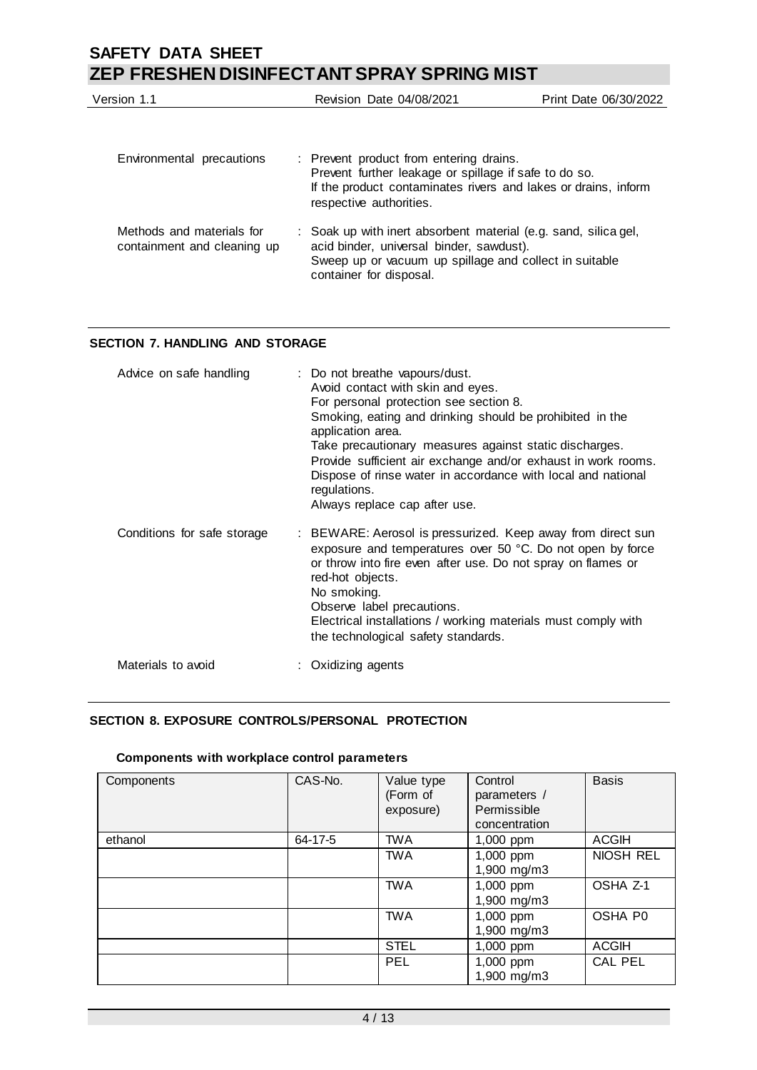| Version 1.1                                              | <b>Revision Date 04/08/2021</b>                                                                                                                                                                  | Print Date 06/30/2022 |
|----------------------------------------------------------|--------------------------------------------------------------------------------------------------------------------------------------------------------------------------------------------------|-----------------------|
| Environmental precautions                                | : Prevent product from entering drains.<br>Prevent further leakage or spillage if safe to do so.<br>If the product contaminates rivers and lakes or drains, inform<br>respective authorities.    |                       |
| Methods and materials for<br>containment and cleaning up | : Soak up with inert absorbent material (e.g. sand, silica gel,<br>acid binder, universal binder, sawdust).<br>Sweep up or vacuum up spillage and collect in suitable<br>container for disposal. |                       |

## **SECTION 7. HANDLING AND STORAGE**

| Advice on safe handling     | : Do not breathe vapours/dust.<br>Avoid contact with skin and eyes.<br>For personal protection see section 8.<br>Smoking, eating and drinking should be prohibited in the<br>application area.<br>Take precautionary measures against static discharges.<br>Provide sufficient air exchange and/or exhaust in work rooms.<br>Dispose of rinse water in accordance with local and national<br>regulations.<br>Always replace cap after use. |
|-----------------------------|--------------------------------------------------------------------------------------------------------------------------------------------------------------------------------------------------------------------------------------------------------------------------------------------------------------------------------------------------------------------------------------------------------------------------------------------|
| Conditions for safe storage | : BEWARE: Aerosol is pressurized. Keep away from direct sun<br>exposure and temperatures over 50 °C. Do not open by force<br>or throw into fire even after use. Do not spray on flames or<br>red-hot objects.<br>No smoking.<br>Observe label precautions.<br>Electrical installations / working materials must comply with<br>the technological safety standards.                                                                         |
| Materials to avoid          | Oxidizing agents                                                                                                                                                                                                                                                                                                                                                                                                                           |

## **SECTION 8. EXPOSURE CONTROLS/PERSONAL PROTECTION**

## **Components with workplace control parameters**

| Components | CAS-No. | Value type<br>(Form of<br>exposure) | Control<br>parameters /<br>Permissible<br>concentration | <b>Basis</b>   |
|------------|---------|-------------------------------------|---------------------------------------------------------|----------------|
| ethanol    | 64-17-5 | <b>TWA</b>                          | 1,000 ppm                                               | <b>ACGIH</b>   |
|            |         | <b>TWA</b>                          | 1,000 ppm<br>1,900 mg/m3                                | NIOSH REL      |
|            |         | <b>TWA</b>                          | 1,000 ppm<br>1,900 mg/m3                                | OSHA Z-1       |
|            |         | <b>TWA</b>                          | 1,000 ppm<br>1,900 mg/m3                                | OSHA P0        |
|            |         | <b>STEL</b>                         | 1,000 ppm                                               | <b>ACGIH</b>   |
|            |         | PEL                                 | 1,000 ppm<br>1,900 mg/m3                                | <b>CAL PEL</b> |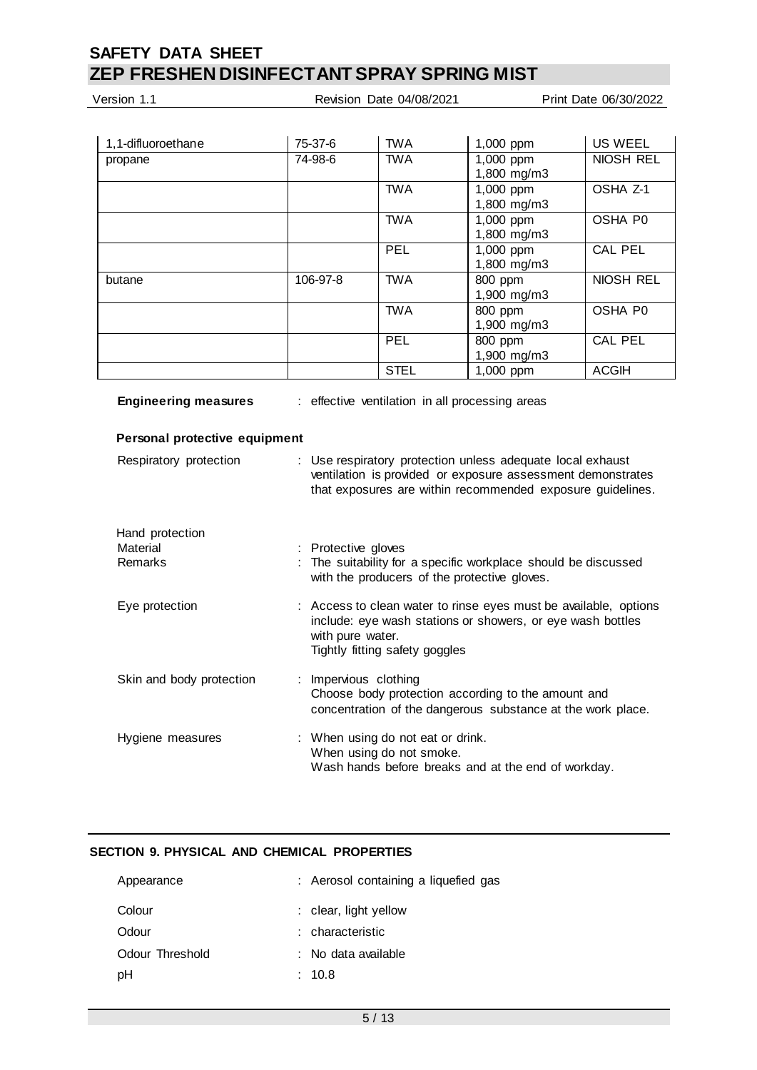| Version 1.1                            |                                                                                                                                                                                         | Revision Date 04/08/2021                        |                                                                        | Print Date 06/30/2022 |
|----------------------------------------|-----------------------------------------------------------------------------------------------------------------------------------------------------------------------------------------|-------------------------------------------------|------------------------------------------------------------------------|-----------------------|
|                                        |                                                                                                                                                                                         |                                                 |                                                                        |                       |
| 1,1-difluoroethane                     | 75-37-6                                                                                                                                                                                 | <b>TWA</b>                                      | 1,000 ppm                                                              | <b>US WEEL</b>        |
| propane                                | 74-98-6                                                                                                                                                                                 | <b>TWA</b>                                      | 1,000 ppm<br>1,800 mg/m3                                               | <b>NIOSH REL</b>      |
|                                        |                                                                                                                                                                                         | <b>TWA</b>                                      | 1,000 ppm<br>1,800 mg/m3                                               | OSHA Z-1              |
|                                        |                                                                                                                                                                                         | <b>TWA</b>                                      | $1,000$ ppm<br>1,800 mg/m3                                             | OSHA P0               |
|                                        |                                                                                                                                                                                         | <b>PEL</b>                                      | 1,000 ppm<br>1,800 mg/m3                                               | <b>CAL PEL</b>        |
| butane                                 | 106-97-8                                                                                                                                                                                | <b>TWA</b>                                      | 800 ppm<br>1,900 mg/m3                                                 | NIOSH REL             |
|                                        |                                                                                                                                                                                         | <b>TWA</b>                                      | 800 ppm<br>1,900 mg/m3                                                 | OSHA P0               |
|                                        |                                                                                                                                                                                         | PEL                                             | 800 ppm<br>1,900 mg/m3                                                 | <b>CAL PEL</b>        |
|                                        |                                                                                                                                                                                         | <b>STEL</b>                                     | 1,000 ppm                                                              | <b>ACGIH</b>          |
| <b>Engineering measures</b>            |                                                                                                                                                                                         | : effective ventilation in all processing areas |                                                                        |                       |
| Personal protective equipment          |                                                                                                                                                                                         |                                                 |                                                                        |                       |
| Respiratory protection                 | : Use respiratory protection unless adequate local exhaust<br>ventilation is provided or exposure assessment demonstrates<br>that exposures are within recommended exposure guidelines. |                                                 |                                                                        |                       |
| Hand protection<br>Material<br>Remarks | : Protective gloves                                                                                                                                                                     | with the producers of the protective gloves.    | The suitability for a specific workplace should be discussed           |                       |
| Eug protogtion                         |                                                                                                                                                                                         |                                                 | $\cdot$ According plans water to ringe over must be ovailable options. |                       |

| Eye protection           | : Access to clean water to rinse eyes must be available, options<br>include: eye wash stations or showers, or eye wash bottles<br>with pure water.<br>Tightly fitting safety goggles |
|--------------------------|--------------------------------------------------------------------------------------------------------------------------------------------------------------------------------------|
| Skin and body protection | : Impervious clothing<br>Choose body protection according to the amount and<br>concentration of the dangerous substance at the work place.                                           |
| Hygiene measures         | : When using do not eat or drink.<br>When using do not smoke.<br>Wash hands before breaks and at the end of workday.                                                                 |

## **SECTION 9. PHYSICAL AND CHEMICAL PROPERTIES**

| Appearance      | : Aerosol containing a liquefied gas |
|-----------------|--------------------------------------|
| Colour          | $:$ clear, light yellow              |
| Odour           | : characteristic                     |
| Odour Threshold | : No data available                  |
| рH              | : 10.8                               |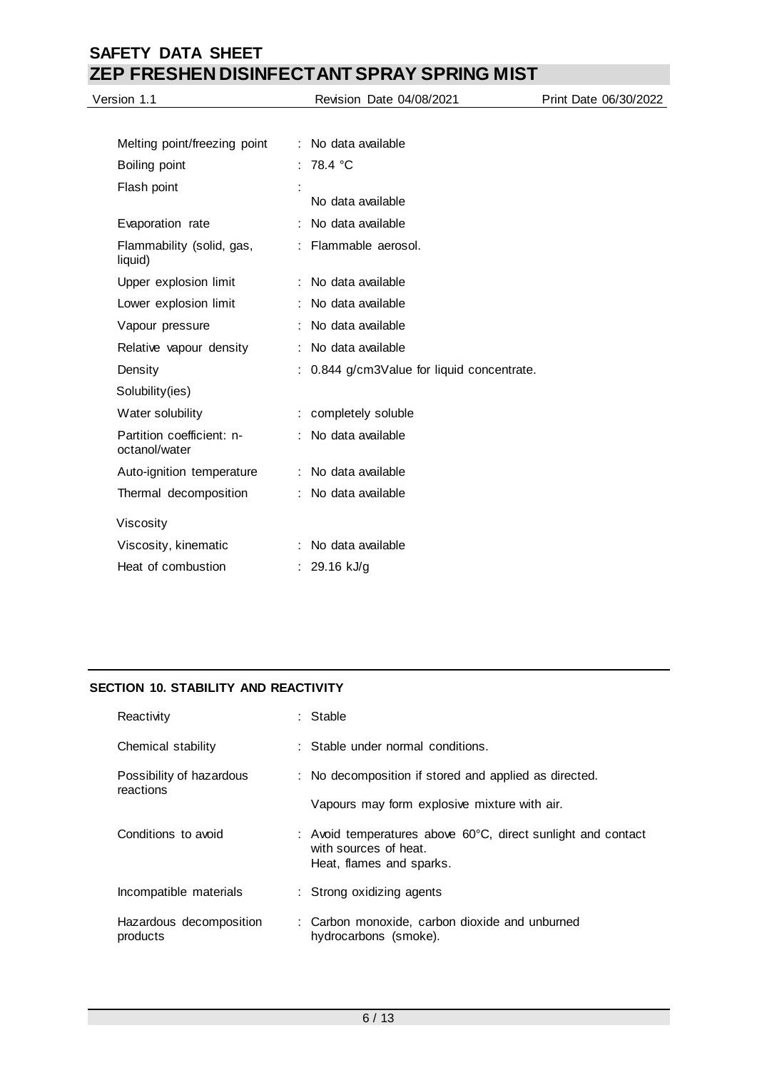| Version 1.1                                | Revision Date 04/08/2021                   | Print Date 06/30/2022 |
|--------------------------------------------|--------------------------------------------|-----------------------|
|                                            |                                            |                       |
| Melting point/freezing point               | : No data available                        |                       |
| Boiling point                              | : 78.4 °C                                  |                       |
| Flash point                                |                                            |                       |
|                                            | No data available                          |                       |
| Evaporation rate                           | No data available                          |                       |
| Flammability (solid, gas,<br>liquid)       | Flammable aerosol.                         |                       |
| Upper explosion limit                      | No data available                          |                       |
| Lower explosion limit                      | No data available                          |                       |
| Vapour pressure                            | No data available                          |                       |
| Relative vapour density                    | No data available                          |                       |
| Density                                    | : 0.844 g/cm3Value for liquid concentrate. |                       |
| Solubility(ies)                            |                                            |                       |
| Water solubility                           | : completely soluble                       |                       |
| Partition coefficient: n-<br>octanol/water | No data available                          |                       |
| Auto-ignition temperature                  | No data available                          |                       |
| Thermal decomposition                      | No data available                          |                       |
| Viscosity                                  |                                            |                       |
| Viscosity, kinematic                       | No data available                          |                       |
| Heat of combustion                         | : $29.16$ kJ/g                             |                       |
|                                            |                                            |                       |

# **SECTION 10. STABILITY AND REACTIVITY**

| Reactivity                            | : Stable                                                                                                                    |
|---------------------------------------|-----------------------------------------------------------------------------------------------------------------------------|
| Chemical stability                    | : Stable under normal conditions.                                                                                           |
| Possibility of hazardous<br>reactions | : No decomposition if stored and applied as directed.                                                                       |
|                                       | Vapours may form explosive mixture with air.                                                                                |
| Conditions to avoid                   | : Avoid temperatures above $60^{\circ}$ C, direct sunlight and contact<br>with sources of heat.<br>Heat, flames and sparks. |
| Incompatible materials                | : Strong oxidizing agents                                                                                                   |
| Hazardous decomposition<br>products   | : Carbon monoxide, carbon dioxide and unburned<br>hydrocarbons (smoke).                                                     |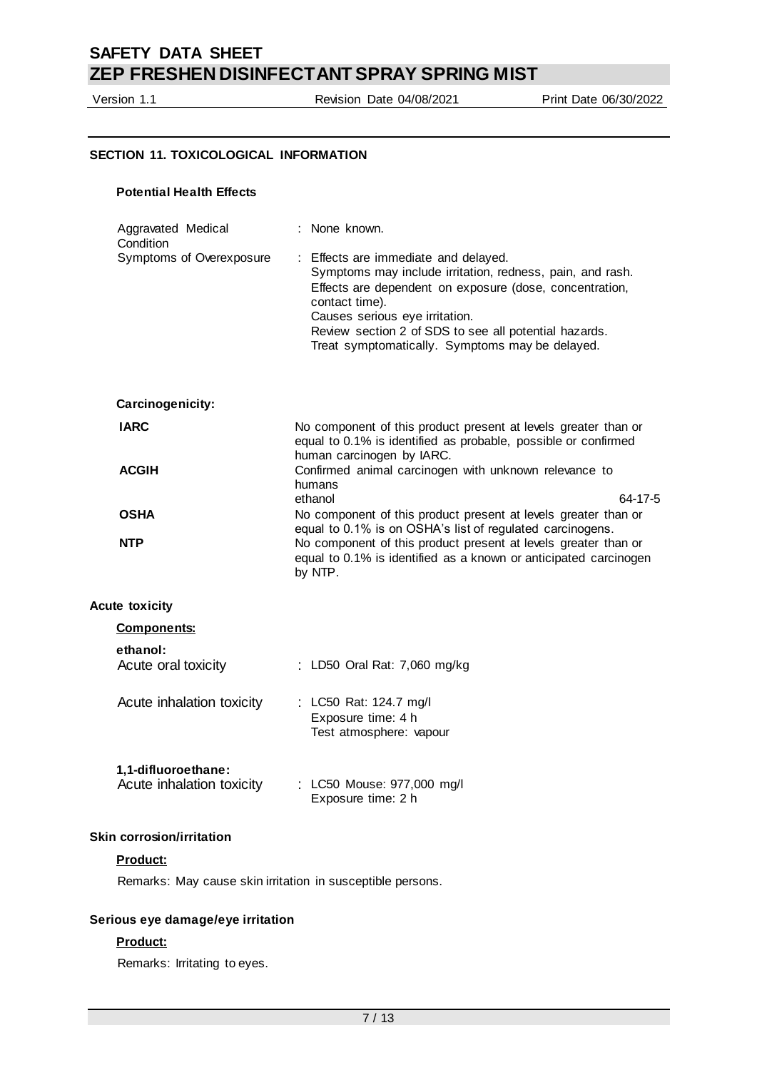Version 1.1 Revision Date 04/08/2021 Print Date 06/30/2022

#### **SECTION 11. TOXICOLOGICAL INFORMATION**

## **Potential Health Effects**

| Aggravated Medical<br>Condition                            | : None known.                                                                                                                                                                                                                                                                                                                |
|------------------------------------------------------------|------------------------------------------------------------------------------------------------------------------------------------------------------------------------------------------------------------------------------------------------------------------------------------------------------------------------------|
| Symptoms of Overexposure                                   | : Effects are immediate and delayed.<br>Symptoms may include irritation, redness, pain, and rash.<br>Effects are dependent on exposure (dose, concentration,<br>contact time).<br>Causes serious eye irritation.<br>Review section 2 of SDS to see all potential hazards.<br>Treat symptomatically. Symptoms may be delayed. |
| Carcinogenicity:                                           |                                                                                                                                                                                                                                                                                                                              |
| <b>IARC</b>                                                | No component of this product present at levels greater than or<br>equal to 0.1% is identified as probable, possible or confirmed<br>human carcinogen by IARC.                                                                                                                                                                |
| <b>ACGIH</b>                                               | Confirmed animal carcinogen with unknown relevance to<br>humans<br>64-17-5<br>ethanol                                                                                                                                                                                                                                        |
| <b>OSHA</b>                                                | No component of this product present at levels greater than or                                                                                                                                                                                                                                                               |
| <b>NTP</b>                                                 | equal to 0.1% is on OSHA's list of regulated carcinogens.<br>No component of this product present at levels greater than or<br>equal to 0.1% is identified as a known or anticipated carcinogen<br>by NTP.                                                                                                                   |
| <b>Acute toxicity</b>                                      |                                                                                                                                                                                                                                                                                                                              |
| <b>Components:</b>                                         |                                                                                                                                                                                                                                                                                                                              |
| ethanol:<br>Acute oral toxicity                            | : LD50 Oral Rat: 7,060 mg/kg                                                                                                                                                                                                                                                                                                 |
| Acute inhalation toxicity                                  | : LC50 Rat: 124.7 mg/l<br>Exposure time: 4 h<br>Test atmosphere: vapour                                                                                                                                                                                                                                                      |
| 1,1-difluoroethane:<br>Acute inhalation toxicity           | : LC50 Mouse: 977,000 mg/l<br>Exposure time: 2 h                                                                                                                                                                                                                                                                             |
| <b>Skin corrosion/irritation</b>                           |                                                                                                                                                                                                                                                                                                                              |
| Product:                                                   |                                                                                                                                                                                                                                                                                                                              |
| Remarks: May cause skin irritation in susceptible persons. |                                                                                                                                                                                                                                                                                                                              |
| Serious eye damage/eye irritation                          |                                                                                                                                                                                                                                                                                                                              |

### **Product:**

Remarks: Irritating to eyes.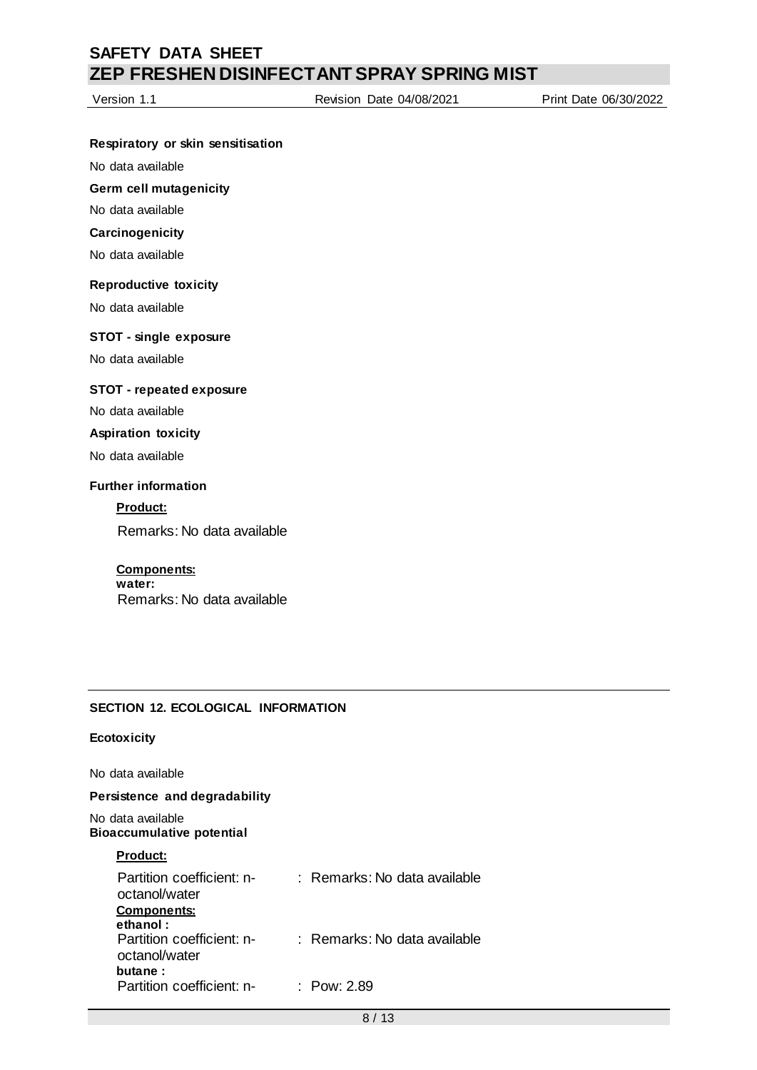Version 1.1 Revision Date 04/08/2021 Print Date 06/30/2022

### **Respiratory or skin sensitisation**

No data available

**Germ cell mutagenicity**

No data available

## **Carcinogenicity**

No data available

#### **Reproductive toxicity**

No data available

#### **STOT - single exposure**

No data available

### **STOT - repeated exposure**

No data available

#### **Aspiration toxicity**

No data available

## **Further information**

**Product:**

Remarks: No data available

### **Components:**

**water:** Remarks: No data available

### **SECTION 12. ECOLOGICAL INFORMATION**

#### **Ecotoxicity**

No data available

### **Persistence and degradability**

No data available **Bioaccumulative potential**

#### **Product:**

| Partition coefficient: n-<br>octanol/water<br><b>Components:</b> | $\pm$ Remarks: No data available. |
|------------------------------------------------------------------|-----------------------------------|
| ethanol:<br>Partition coefficient: n-<br>octanol/water           | $\pm$ Remarks: No data available. |
| butane:<br>Partition coefficient: n-                             | : Pow: 2.89                       |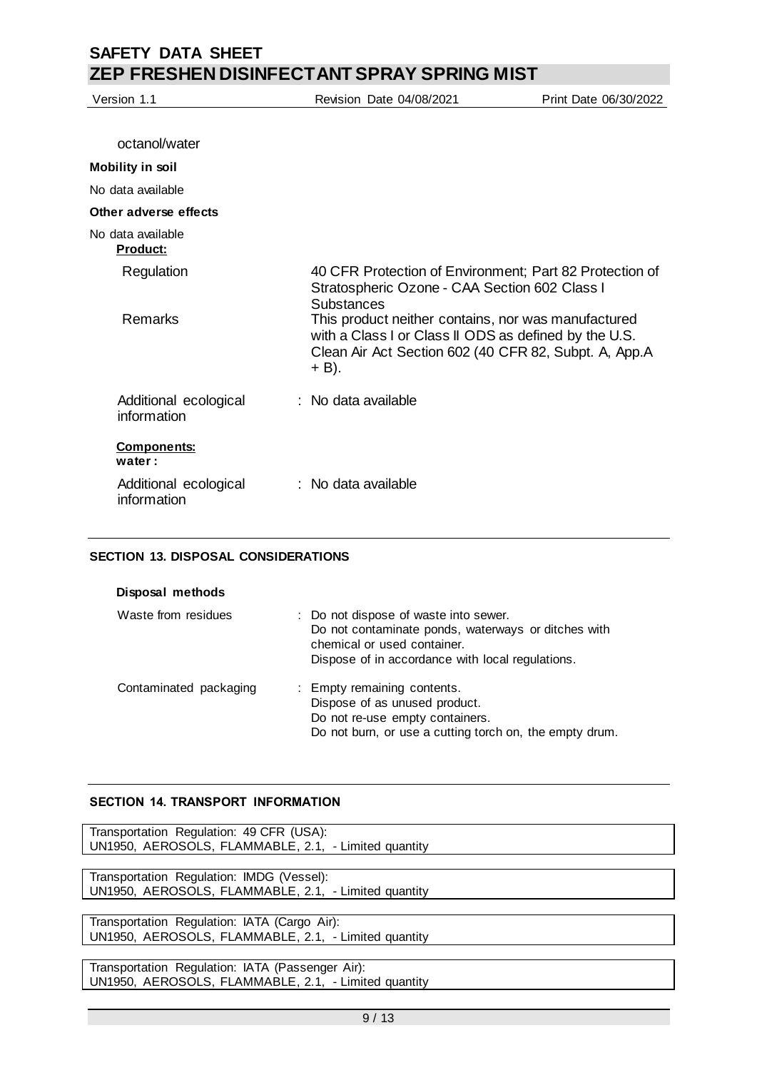| Version 1.1                          | <b>Revision Date 04/08/2021</b>                                                                                                                                                                                                                                                                                 | Print Date 06/30/2022 |
|--------------------------------------|-----------------------------------------------------------------------------------------------------------------------------------------------------------------------------------------------------------------------------------------------------------------------------------------------------------------|-----------------------|
|                                      |                                                                                                                                                                                                                                                                                                                 |                       |
| octanol/water                        |                                                                                                                                                                                                                                                                                                                 |                       |
| <b>Mobility in soil</b>              |                                                                                                                                                                                                                                                                                                                 |                       |
| No data available                    |                                                                                                                                                                                                                                                                                                                 |                       |
| Other adverse effects                |                                                                                                                                                                                                                                                                                                                 |                       |
| No data available<br><b>Product:</b> |                                                                                                                                                                                                                                                                                                                 |                       |
| Regulation<br>Remarks                | 40 CFR Protection of Environment; Part 82 Protection of<br>Stratospheric Ozone - CAA Section 602 Class I<br><b>Substances</b><br>This product neither contains, nor was manufactured<br>with a Class I or Class II ODS as defined by the U.S.<br>Clean Air Act Section 602 (40 CFR 82, Subpt. A, App.A<br>+ B). |                       |
| Additional ecological<br>information | : No data available                                                                                                                                                                                                                                                                                             |                       |
| <b>Components:</b><br>water:         |                                                                                                                                                                                                                                                                                                                 |                       |
| Additional ecological<br>information | $\therefore$ No data available                                                                                                                                                                                                                                                                                  |                       |

### **SECTION 13. DISPOSAL CONSIDERATIONS**

| Disposal methods       |                                                                                                                                                                                 |
|------------------------|---------------------------------------------------------------------------------------------------------------------------------------------------------------------------------|
| Waste from residues    | : Do not dispose of waste into sewer.<br>Do not contaminate ponds, waterways or ditches with<br>chemical or used container.<br>Dispose of in accordance with local regulations. |
| Contaminated packaging | : Empty remaining contents.<br>Dispose of as unused product.<br>Do not re-use empty containers.<br>Do not burn, or use a cutting torch on, the empty drum.                      |

### **SECTION 14. TRANSPORT INFORMATION**

Transportation Regulation: 49 CFR (USA): UN1950, AEROSOLS, FLAMMABLE, 2.1, - Limited quantity

Transportation Regulation: IMDG (Vessel): UN1950, AEROSOLS, FLAMMABLE, 2.1, - Limited quantity

Transportation Regulation: IATA (Cargo Air): UN1950, AEROSOLS, FLAMMABLE, 2.1, - Limited quantity

Transportation Regulation: IATA (Passenger Air): UN1950, AEROSOLS, FLAMMABLE, 2.1, - Limited quantity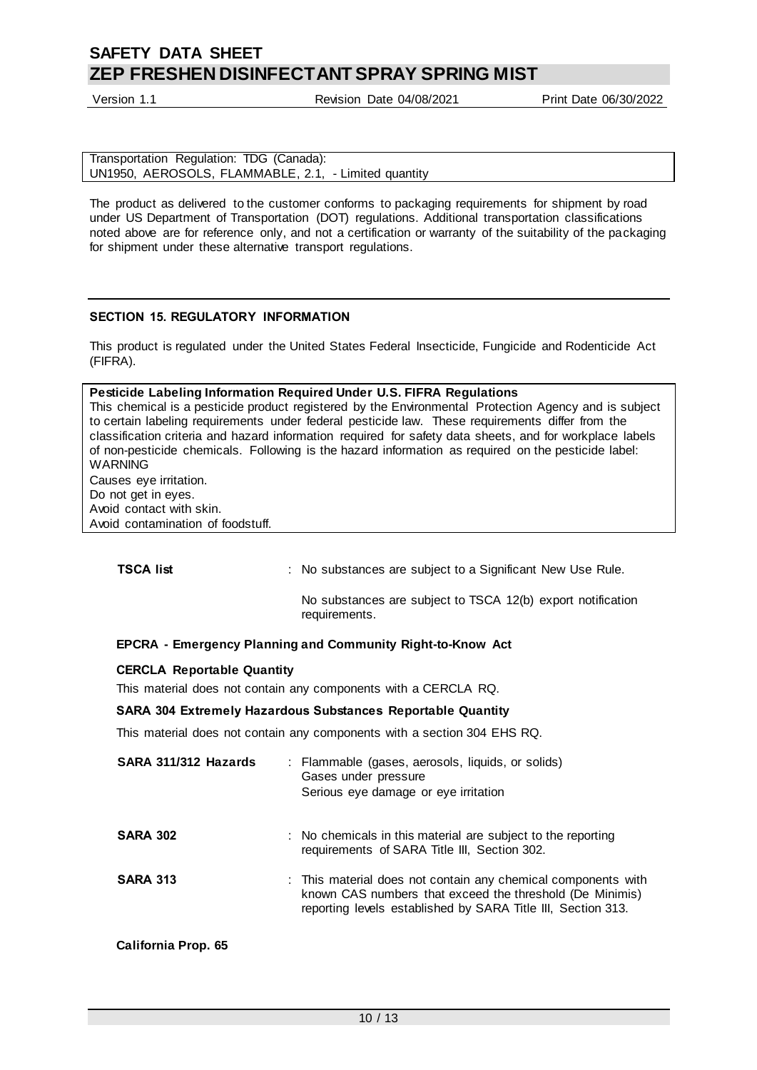Version 1.1 Revision Date 04/08/2021 Print Date 06/30/2022

| Transportation Regulation: TDG (Canada):             |  |
|------------------------------------------------------|--|
| UN1950, AEROSOLS, FLAMMABLE, 2.1, - Limited quantity |  |

The product as delivered to the customer conforms to packaging requirements for shipment by road under US Department of Transportation (DOT) regulations. Additional transportation classifications noted above are for reference only, and not a certification or warranty of the suitability of the packaging for shipment under these alternative transport regulations.

#### **SECTION 15. REGULATORY INFORMATION**

This product is regulated under the United States Federal Insecticide, Fungicide and Rodenticide Act (FIFRA).

#### **Pesticide Labeling Information Required Under U.S. FIFRA Regulations**

This chemical is a pesticide product registered by the Environmental Protection Agency and is subject to certain labeling requirements under federal pesticide law. These requirements differ from the classification criteria and hazard information required for safety data sheets, and for workplace labels of non-pesticide chemicals. Following is the hazard information as required on the pesticide label: WARNING

Causes eye irritation. Do not get in eyes.

Avoid contact with skin.

Avoid contamination of foodstuff.

**TSCA list interpretatally** : No substances are subject to a Significant New Use Rule.

No substances are subject to TSCA 12(b) export notification requirements.

### **EPCRA - Emergency Planning and Community Right-to-Know Act**

#### **CERCLA Reportable Quantity**

This material does not contain any components with a CERCLA RQ.

#### **SARA 304 Extremely Hazardous Substances Reportable Quantity**

This material does not contain any components with a section 304 EHS RQ.

| SARA 311/312 Hazards       | : Flammable (gases, aerosols, liquids, or solids)<br>Gases under pressure<br>Serious eye damage or eye irritation                                                                         |  |
|----------------------------|-------------------------------------------------------------------------------------------------------------------------------------------------------------------------------------------|--|
| <b>SARA 302</b>            | : No chemicals in this material are subject to the reporting<br>requirements of SARA Title III, Section 302.                                                                              |  |
| <b>SARA 313</b>            | : This material does not contain any chemical components with<br>known CAS numbers that exceed the threshold (De Minimis)<br>reporting levels established by SARA Title III, Section 313. |  |
| <b>California Prop. 65</b> |                                                                                                                                                                                           |  |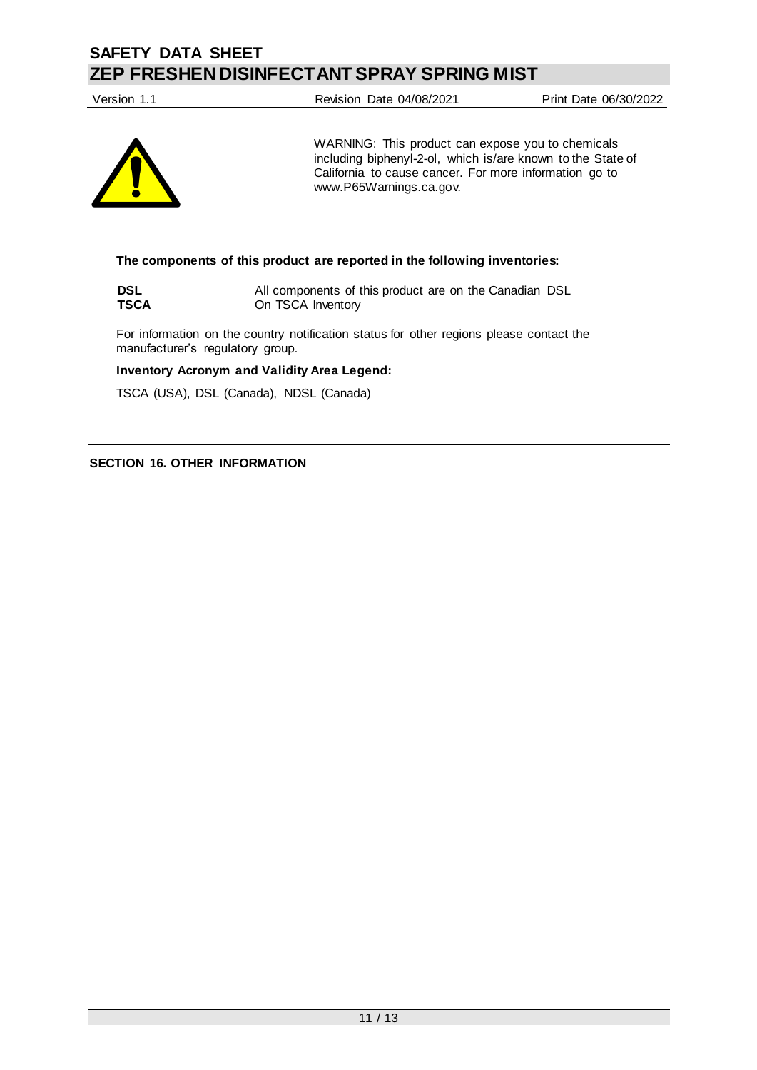Version 1.1 Revision Date 04/08/2021 Print Date 06/30/2022



WARNING: This product can expose you to chemicals including biphenyl-2-ol, which is/are known to the State of California to cause cancer. For more information go to www.P65Warnings.ca.gov.

#### **The components of this product are reported in the following inventories:**

**DSL** All components of this product are on the Canadian DSL<br> **TSCA** On TSCA Inventory **On TSCA** Inventory

For information on the country notification status for other regions please contact the manufacturer's regulatory group.

**Inventory Acronym and Validity Area Legend:**

TSCA (USA), DSL (Canada), NDSL (Canada)

**SECTION 16. OTHER INFORMATION**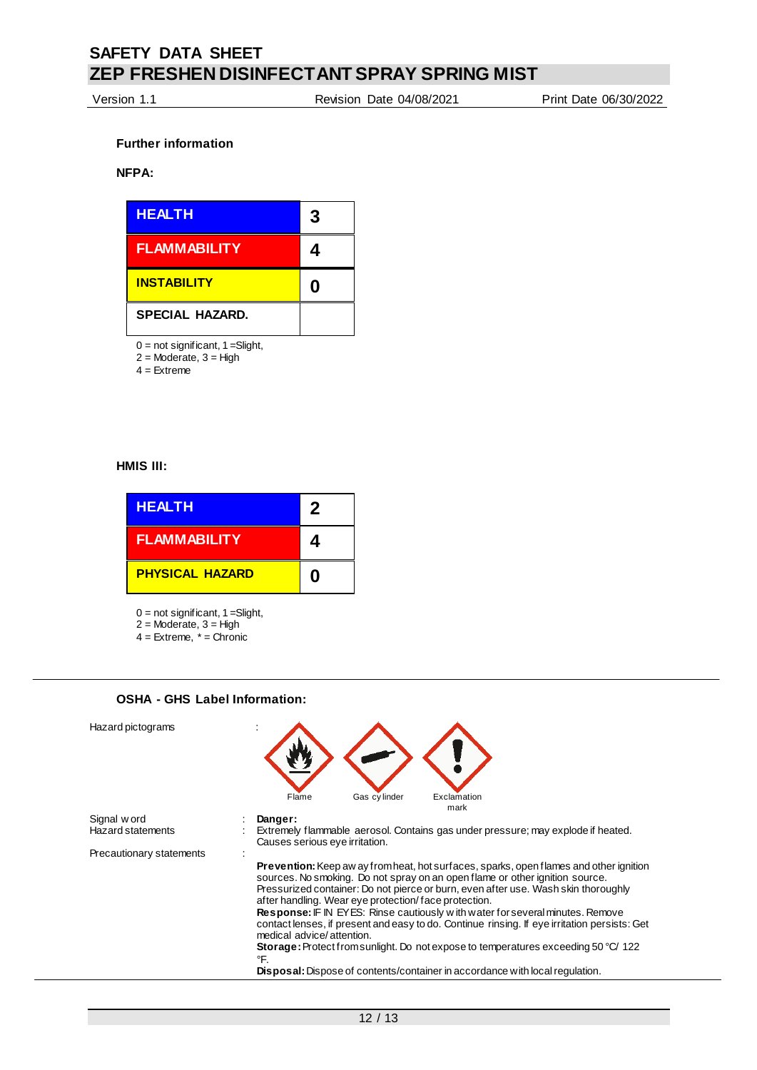Version 1.1 Revision Date 04/08/2021 Print Date 06/30/2022

#### **Further information**

#### **NFPA:**



 $0 = not$  significant,  $1 =$ Slight,

 $2$  = Moderate,  $3$  = High

 $4 =$ Extreme

#### **HMIS III:**

| <b>HEALTH</b>          | 2 |
|------------------------|---|
| <b>FLAMMABILITY</b>    | 4 |
| <b>PHYSICAL HAZARD</b> | N |

 $0 = not$  significant,  $1 =$ Slight,

**OSHA - GHS Label Information:**

- $2 =$  Moderate,  $3 =$  High 4 = Extreme, \* = Chronic
- Hazard pictograms : Flame Gas cylinder Exclamation mark Signal w ord **: Danger:**<br>
Hazard statements : Extremel Extremely flammable aerosol. Contains gas under pressure; may explode if heated. Causes serious eye irritation. Precautionary statements **Prevention:** Keep aw ay from heat, hot surfaces, sparks, open flames and other ignition sources. No smoking. Do not spray on an open flame or other ignition source. Pressurized container: Do not pierce or burn, even after use. Wash skin thoroughly after handling. Wear eye protection/ face protection. **Response:** IF IN EYES: Rinse cautiously w ith water for several minutes. Remove contact lenses, if present and easy to do. Continue rinsing. If eye irritation persists: Get medical advice/ attention. **Storage:** Protect from sunlight. Do not expose to temperatures exceeding 50 °C/ 122 °F. **Disposal:** Dispose of contents/container in accordance with local regulation.